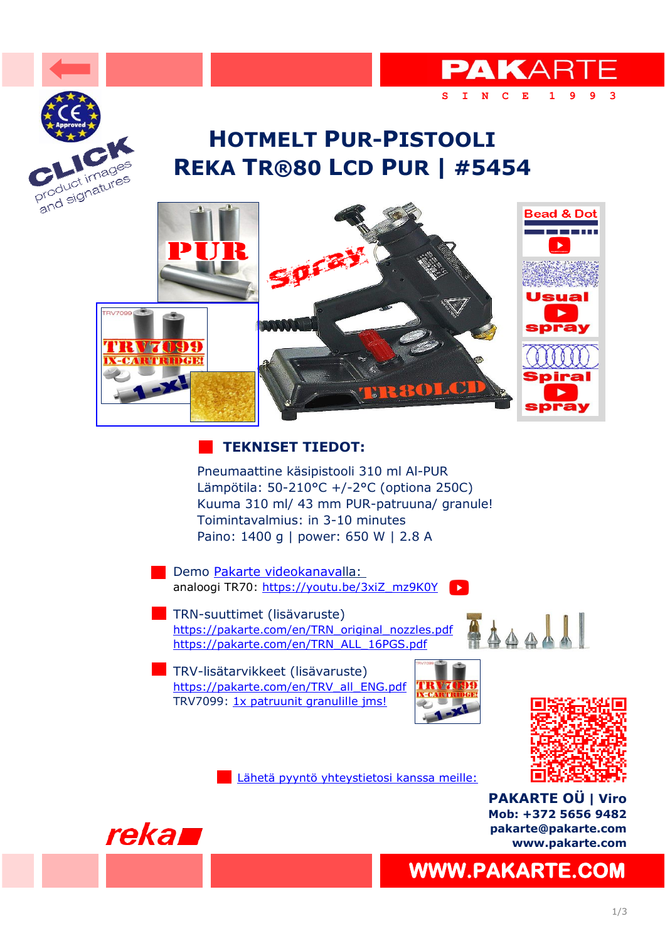

## **REKA TR®80 LCD PUR | #5454 HOTMELT PUR-PISTOOLI**



#### **TEKNISET TIEDOT:**

Pneumaattine käsipistooli 310 ml Al-PUR Lämpötila: 50-210°C +/-2°C (optiona 250C) Kuuma 310 ml/ 43 mm PUR-patruuna/ granule! Toimintavalmius: in 3-10 minutes Paino: 1400 g | power: 650 W | 2.8 A

Demo Pakarte videokanavalla: [analoogi TR70: https://youtu.be/3xiZ\\_mz9K0Y](https://youtu.be/3xiZ_mz9K0Y) |  $\blacktriangleright$ 

**TRN-suuttimet (lisävaruste)** [https://pakarte.com/en/TRN\\_original\\_nozzles.pdf](https://pakarte.com/en/TRN_original_nozzles.pdf) [https://pakarte.com/en/TRN\\_ALL\\_16PGS.pdf](https://pakarte.com/en/TRN_ALL_16PGS.pdf)

**TRV-lisätarvikkeet (lisävaruste)** [https://pakarte.com/en/TRV\\_all\\_ENG.pdf](https://pakarte.com/en/TRV_all_ENG.pdf) [TRV7099: 1x patruunit granulille jms!](https://pakarte.com/en/TRV7099.pdf)



[Lähetä pyyntö yhteystietosi kanssa meille:](https://pakarte.com/eng/kontakt_eng.html)



**PAKARTE OÜ | Viro Mob: +372 5656 9482 pakarte@pakarte.com www.pakarte.com**

**[WWW.PAKARTE.COM](https://pakarte.com/index.html)** 

414411

**[S I N C E 1 9 9 3](https://pakarte.com/index.html)** 

**PAKARTE**